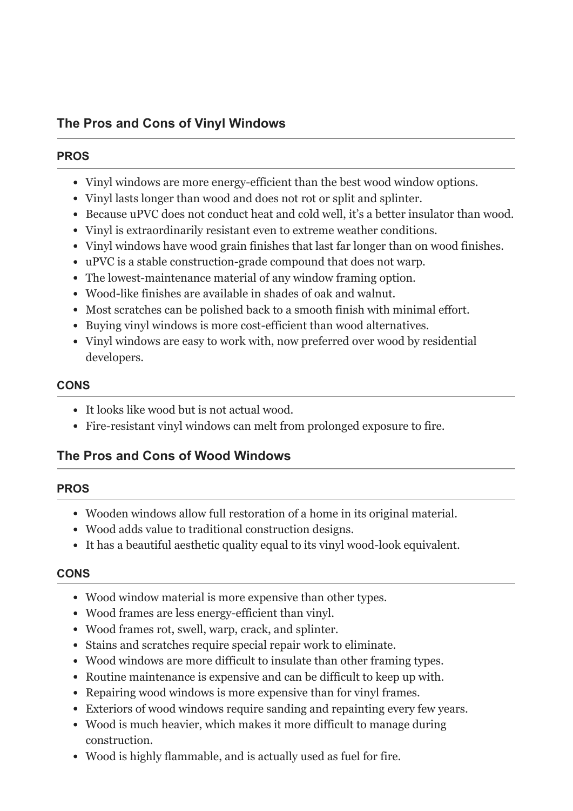### **PROS**

- Vinyl windows are more energy-efficient than the best wood window options.
- Vinyl lasts longer than wood and does not rot or split and splinter.
- Because uPVC does not conduct heat and cold well, it's a better insulator than wood.
- Vinyl is extraordinarily resistant even to extreme weather conditions.
- Vinyl windows have wood grain finishes that last far longer than on wood finishes.
- uPVC is a stable construction-grade compound that does not warp.
- The lowest-maintenance material of any window framing option.
- Wood-like finishes are available in shades of oak and walnut.
- Most scratches can be polished back to a smooth finish with minimal effort.
- Buying vinyl windows is more cost-efficient than wood alternatives.
- Vinyl windows are easy to work with, now preferred over wood by residential developers.

### **CONS**

- It looks like wood but is not actual wood.
- Fire-resistant vinyl windows can melt from prolonged exposure to fire.

# **The Pros and Cons of Wood Windows**

## **PROS**

- Wooden windows allow full restoration of a home in its original material.
- Wood adds value to traditional construction designs.
- It has a beautiful aesthetic quality equal to its vinyl wood-look equivalent.

### **CONS**

- Wood window material is more expensive than other types.
- Wood frames are less energy-efficient than vinyl.
- Wood frames rot, swell, warp, crack, and splinter.
- Stains and scratches require special repair work to eliminate.
- Wood windows are more difficult to insulate than other framing types.
- Routine maintenance is expensive and can be difficult to keep up with.
- Repairing wood windows is more expensive than for vinyl frames.
- Exteriors of wood windows require sanding and repainting every few years.
- Wood is much heavier, which makes it more difficult to manage during construction.
- Wood is highly flammable, and is actually used as fuel for fire.